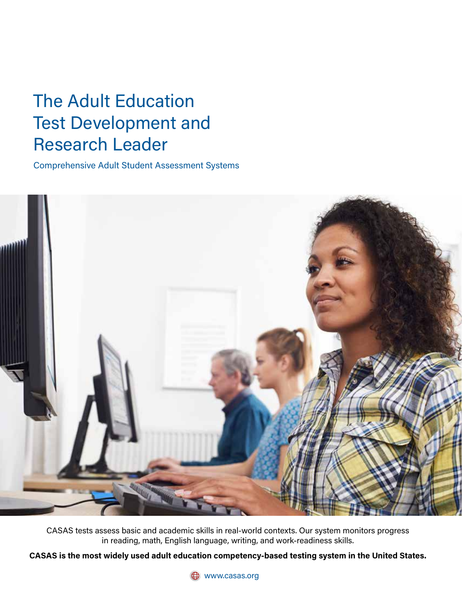## The Adult Education Test Development and Research Leader

Comprehensive Adult Student Assessment Systems



CASAS tests assess basic and academic skills in real-world contexts. Our system monitors progress in reading, math, English language, writing, and work-readiness skills.

**CASAS is the most widely used adult education competency-based testing system in the United States.**

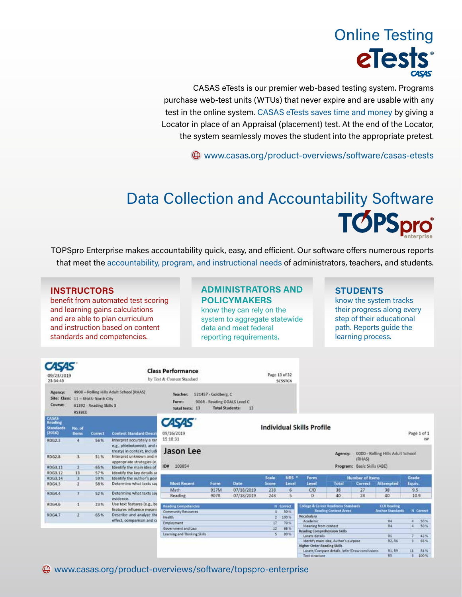# Online Testing eTests®

CASAS eTests is our premier web-based testing system. Programs purchase web-test units (WTUs) that never expire and are usable with any test in the online system. CASAS eTests saves time and money by giving a Locator in place of an Appraisal (placement) test. At the end of the Locator, the system seamlessly moves the student into the appropriate pretest.

www.casas.org/product-overviews/software/casas-etests

## Data Collection and Accountability Software **TOPSpro**

TOPSpro Enterprise makes accountability quick, easy, and efficient. Our software offers numerous reports that meet the accountability, program, and instructional needs of administrators, teachers, and students.

#### **INSTRUCTORS**

benefit from automated test scoring and learning gains calculations and are able to plan curriculum and instruction based on content standards and competencies.

#### **ADMINISTRATORS AND POLICYMAKERS**

know they can rely on the system to aggregate statewide data and meet federal reporting requirements.

#### **STUDENTS**

know the system tracks their progress along every step of their educational path. Reports guide the learning process.

| 09/23/2019<br>23:34:49                                |                                                                                                                |         |                                                                                         | <b>Class Performance</b><br>by Test & Content Standard                                                                                                                                              |      |            | Page 13 of 32 | <b>SCSSTC4</b>   |                                      |         |                                                |                                   |            |                                  |
|-------------------------------------------------------|----------------------------------------------------------------------------------------------------------------|---------|-----------------------------------------------------------------------------------------|-----------------------------------------------------------------------------------------------------------------------------------------------------------------------------------------------------|------|------------|---------------|------------------|--------------------------------------|---------|------------------------------------------------|-----------------------------------|------------|----------------------------------|
| <b>Agency:</b><br>Site: Class:<br>Course:             | 4908 - Rolling Hills Adult School (RHAS)<br>11 - RHAS: North City<br>61392 - Reading Skills 3<br><b>RS3BEE</b> |         |                                                                                         | 521457 - Goldberg, C<br>Teacher:<br>Form:<br>906R - Reading GOALS Level C<br>Total Tests: 13                                                                                                        |      |            |               |                  |                                      |         |                                                |                                   |            |                                  |
| <b>CASAS</b><br>Reading<br><b>Standards</b><br>(2016) | No. of<br><b>Items</b>                                                                                         | Correct | <b>Content Standard Descri</b>                                                          | <b>CASAS</b><br>09/16/2019                                                                                                                                                                          |      |            |               |                  | <b>Individual Skills Profile</b>     |         |                                                |                                   |            | Page 1 of 1                      |
| RDG2.3                                                | 4                                                                                                              | 56%     | Interpret accurately a ran<br>e.g., phlebotomist), and c<br>treaty) in context, includi | 15:18:31<br>Jason Lee                                                                                                                                                                               |      |            |               |                  |                                      |         |                                                |                                   |            | <b>ISP</b>                       |
| RDG2.8                                                | 3                                                                                                              | 51%     | Interpret unknown and m<br>appropriate strategies (e.                                   |                                                                                                                                                                                                     |      |            |               |                  |                                      | Agency: | (RHAS)                                         | 0000 - Rolling Hills Adult School |            |                                  |
| RDG3.11                                               | $\overline{2}$                                                                                                 | 65%     | Identify the main idea of                                                               | 103854<br><b>ID#</b>                                                                                                                                                                                |      |            |               |                  |                                      |         | Program: Basic Skills (ABE)                    |                                   |            |                                  |
| RDG3.17                                               | 13                                                                                                             | 57%     | Identify the key details ar                                                             |                                                                                                                                                                                                     |      |            |               |                  |                                      |         |                                                |                                   |            |                                  |
| RDG3.14                                               | з                                                                                                              | 59%     | Identify the author's point                                                             |                                                                                                                                                                                                     |      |            | <b>Scale</b>  | NRS <sup>*</sup> | Form                                 |         | <b>Number of Items</b>                         |                                   | Grade      |                                  |
| RDG4.3                                                | $\mathbf{z}$                                                                                                   | 58%     | Determine what texts say                                                                | <b>Most Recent</b>                                                                                                                                                                                  | Form | Date       | Score         | Level            | Level                                | Total   | Correct                                        | <b>Attempted</b>                  | Equiv.     |                                  |
|                                                       |                                                                                                                |         |                                                                                         | Math                                                                                                                                                                                                | 917M | 07/18/2019 | 238           | 6                | C/D                                  | 38      | 27                                             | 38                                | 9.5        |                                  |
| RDG4.4                                                | T                                                                                                              | 52%     | Determine what texts say<br>evidence.                                                   | Reading                                                                                                                                                                                             | 907R | 07/18/2019 | 248           | ×                | $\mathbf{D}$                         | 40      | 28                                             | 40                                | 10.9       |                                  |
| RDG4.6                                                | 1                                                                                                              | 23%     | Use text features (e.g., bc<br>features influence meanin                                | College & Career Readmess Standards<br><b>Reading Competencies</b><br><b>CCR Reading</b><br>N Correct<br><b>Reading Content Areas</b><br><b>Anchor Standards</b><br>50%<br>Community Resources<br>4 |      |            |               |                  |                                      |         | N Correct                                      |                                   |            |                                  |
| <b>RDG4.7</b>                                         | $\overline{z}$                                                                                                 | 65%     | Describe and analyze the                                                                | <b>Health</b>                                                                                                                                                                                       |      |            |               | 100%             | Vocabulary                           |         |                                                |                                   |            |                                  |
|                                                       |                                                                                                                |         | effect, comparison and co                                                               | Employment                                                                                                                                                                                          |      |            | 17            | 70%              | Academic                             |         |                                                | 84                                | 4          | 50%                              |
|                                                       |                                                                                                                |         |                                                                                         | Government and Law                                                                                                                                                                                  |      |            | 12            | .66%             | Meaning from context                 |         |                                                | 84                                | $\ddot{a}$ | 50%                              |
|                                                       |                                                                                                                |         |                                                                                         |                                                                                                                                                                                                     |      |            |               | 80%              | <b>Reading Comprehension Skills</b>  |         |                                                |                                   |            |                                  |
|                                                       |                                                                                                                |         |                                                                                         | Learning and Thinking Skills                                                                                                                                                                        |      |            | s             |                  | Locate details                       |         |                                                | R\$                               |            | 42%                              |
|                                                       |                                                                                                                |         |                                                                                         |                                                                                                                                                                                                     |      |            |               |                  | identify main idea, Author's purpose |         |                                                | R2.86                             |            | 56%                              |
|                                                       |                                                                                                                |         |                                                                                         |                                                                                                                                                                                                     |      |            |               |                  | Higher Order Reading Skills          |         |                                                |                                   |            |                                  |
|                                                       |                                                                                                                |         |                                                                                         |                                                                                                                                                                                                     |      |            |               |                  |                                      |         | Locate/Compare details. Infer/Draw conclusions | R1.R9<br><b>Section</b>           | 11         | $-81%$<br><b>Service Control</b> |

www.casas.org/product-overviews/software/topspro-enterprise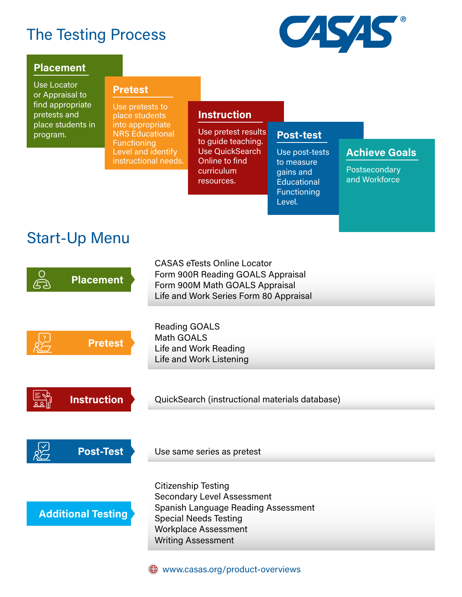## The Testing Process



#### **Placement Placement**

Use Locator or Appraisal to find appropriate pretests and place students in program.

#### **Pretest Pretest**

Use pretests to place students into appropriate NRS Educational **Functioning** Level and identify instructional needs.

#### **Instruction**

Use pretest results to guide teaching. Use QuickSearch Online to find curriculum resources.

Use post-tests to measure gains and **Educational Functioning** Level.

**Post-test**

#### **Achieve Goals**

**Postsecondary** and Workforce

### Start-Up Menu

| <b>Placement</b>          | <b>CASAS eTests Online Locator</b><br>Form 900R Reading GOALS Appraisal<br>Form 900M Math GOALS Appraisal<br>Life and Work Series Form 80 Appraisal                                                       |  |  |  |  |  |
|---------------------------|-----------------------------------------------------------------------------------------------------------------------------------------------------------------------------------------------------------|--|--|--|--|--|
| <b>Pretest</b>            | <b>Reading GOALS</b><br>Math GOALS<br>Life and Work Reading<br>Life and Work Listening                                                                                                                    |  |  |  |  |  |
| <b>Instruction</b>        | QuickSearch (instructional materials database)                                                                                                                                                            |  |  |  |  |  |
| <b>Post-Test</b>          | Use same series as pretest                                                                                                                                                                                |  |  |  |  |  |
| <b>Additional Testing</b> | <b>Citizenship Testing</b><br><b>Secondary Level Assessment</b><br><b>Spanish Language Reading Assessment</b><br><b>Special Needs Testing</b><br><b>Workplace Assessment</b><br><b>Writing Assessment</b> |  |  |  |  |  |

 $\bigoplus$  www.casas.org/product-overviews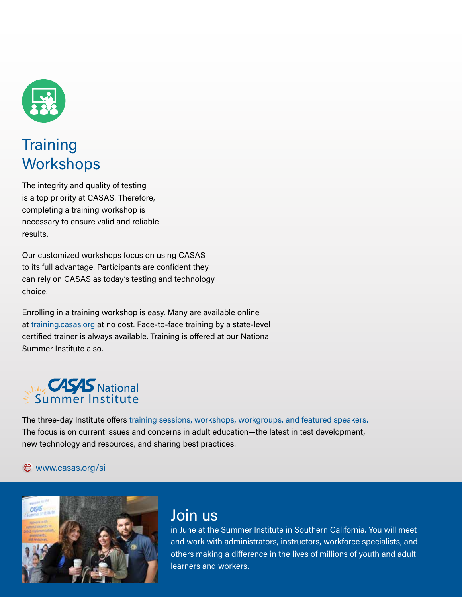

## **Training Workshops**

The integrity and quality of testing is a top priority at CASAS. Therefore, completing a training workshop is necessary to ensure valid and reliable results.

Our customized workshops focus on using CASAS to its full advantage. Participants are confident they can rely on CASAS as today's testing and technology choice.

Enrolling in a training workshop is easy. Many are available online at training.casas.org at no cost. Face-to-face training by a state-level certified trainer is always available. Training is offered at our National Summer Institute also.

# **MA<sub>Z</sub> CASAS** National

The three-day Institute offers training sessions, workshops, workgroups, and featured speakers. The focus is on current issues and concerns in adult education—the latest in test development, new technology and resources, and sharing best practices.

#### $\bigoplus$  www.casas.org/si



## Join us

in June at the Summer Institute in Southern California. You will meet and work with administrators, instructors, workforce specialists, and others making a difference in the lives of millions of youth and adult learners and workers.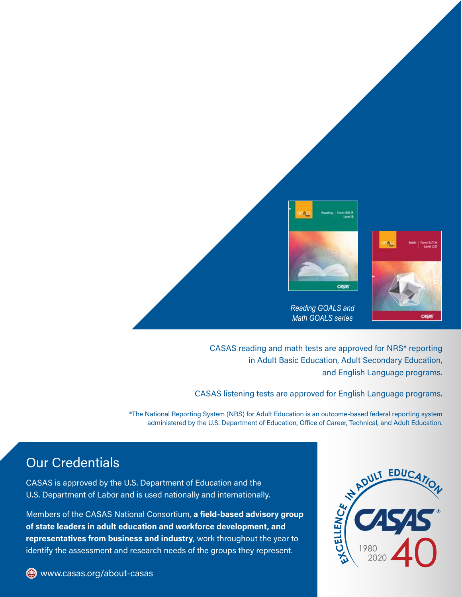

CASAS reading and math tests are approved for NRS\* reporting in Adult Basic Education, Adult Secondary Education, and English Language programs.

CASAS listening tests are approved for English Language programs.

\*The National Reporting System (NRS) for Adult Education is an outcome-based federal reporting system administered by the U.S. Department of Education, Office of Career, Technical, and Adult Education.

### Our Credentials

CASAS is approved by the U.S. Department of Education and the U.S. Department of Labor and is used nationally and internationally.

Members of the CASAS National Consortium, **a field-based advisory group of state leaders in adult education and workforce development, and representatives from business and industry**, work throughout the year to identify the assessment and research needs of the groups they represent.